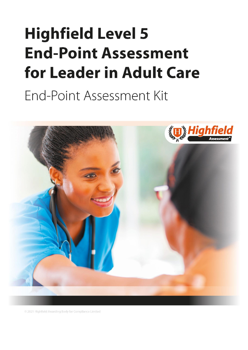# <span id="page-0-1"></span><span id="page-0-0"></span>**Highfield Level 5 End-Point Assessment** for Leader in Adult Care

End-Point Assessment Kit



@ 2021 Highfield Awarding Body for Compliance Limited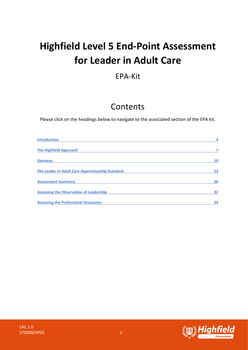## **Highfield Level 5 End-Point Assessment for Leader in Adult Care**

### EPA-Kit

### Contents

Please click on the headings below to navigate to the associated section of the EPA kit.

| <b>Introduction</b>                              | 4  |
|--------------------------------------------------|----|
| <b>The Highfield Approach</b>                    |    |
| <b>Gateway</b>                                   | 10 |
| The Leader in Adult Care Apprenticeship Standard | 12 |
| <b>Assessment Summary</b>                        | 30 |
| <b>Assessing the Observation of Leadership</b>   | 32 |
| <b>Assessing the Professional Discussion</b>     | 39 |

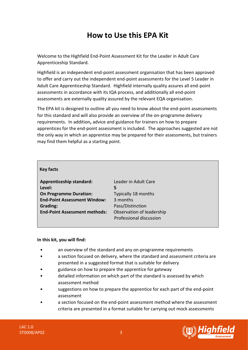### **How to Use this EPA Kit**

Welcome to the Highfield End-Point Assessment Kit for the Leader in Adult Care Apprenticeship Standard.

Highfield is an independent end-point assessment organisation that has been approved to offer and carry out the independent end-point assessments for the Level 5 Leader in Adult Care Apprenticeship Standard. Highfield internally quality assures all end-point assessments in accordance with its IQA process, and additionally all end-point assessments are externally quality assured by the relevant EQA organisation.

The EPA kit is designed to outline all you need to know about the end-point assessments for this standard and will also provide an overview of the on-programme delivery requirements. In addition**,** advice and guidance for trainers on how to prepare apprentices for the end-point assessment is included. The approaches suggested are not the only way in which an apprentice may be prepared for their assessments, but trainers may find them helpful as a starting point.

| <b>Apprenticeship standard:</b>      | Leader in        |
|--------------------------------------|------------------|
| Level:                               | 5                |
| <b>On Programme Duration:</b>        | <b>Typically</b> |
| <b>End-Point Assessment Window:</b>  | 3 months         |
| <b>Grading:</b>                      | Pass/Dist        |
| <b>End-Point Assessment methods:</b> | Observati        |
|                                      | Professio        |

**Adult Care Only 18 months Distinction Exation of leadership** essional discussion

### **In this kit, you will find:**

- an overview of the standard and any on-programme requirements
- a section focused on delivery, where the standard and assessment criteria are presented in a suggested format that is suitable for delivery
- guidance on how to prepare the apprentice for gateway
- detailed information on which part of the standard is assessed by which assessment method
- suggestions on how to prepare the apprentice for each part of the end-point assessment
- a section focused on the end-point assessment method where the assessment criteria are presented in a format suitable for carrying out mock assessments

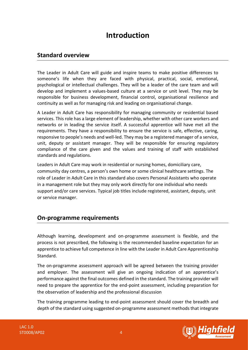### **Introduction**

### <span id="page-3-0"></span>**Standard overview**

The Leader in Adult Care will guide and inspire teams to make positive differences to someone's life when they are faced with physical, practical, social, emotional, psychological or intellectual challenges. They will be a leader of the care team and will develop and implement a values-based culture at a service or unit level. They may be responsible for business development, financial control, organisational resilience and continuity as well as for managing risk and leading on organisational change.

A Leader in Adult Care has responsibility for managing community or residential based services. This role has a large element of leadership, whether with other care workers and networks or in leading the service itself. A successful apprentice will have met all the requirements. They have a responsibility to ensure the service is safe, effective, caring, responsive to people's needs and well-led. They may be a registered manager of a service, unit, deputy or assistant manager. They will be responsible for ensuring regulatory compliance of the care given and the values and training of staff with established standards and regulations.

Leaders in Adult Care may work in residential or nursing homes, domiciliary care, community day centres, a person's own home or some clinical healthcare settings. The role of Leader in Adult Care in this standard also covers Personal Assistants who operate in a management role but they may only work directly for one individual who needs support and/or care services. Typical job titles include registered, assistant, deputy, unit or service manager.

### **On-programme requirements**

Although learning, development and on-programme assessment is flexible, and the process is not prescribed, the following is the recommended baseline expectation for an apprentice to achieve full competence in line with the Leader in Adult Care Apprenticeship Standard.

The on-programme assessment approach will be agreed between the training provider and employer. The assessment will give an ongoing indication of an apprentice's performance against the final outcomes defined in the standard. The training provider will need to prepare the apprentice for the end-point assessment, including preparation for the observation of leadership and the professional discussion

The training programme leading to end-point assessment should cover the breadth and depth of the standard using suggested on-programme assessment methods that integrate

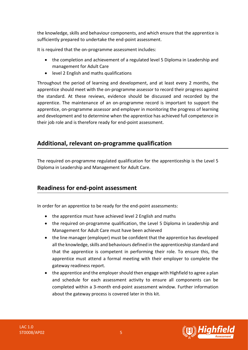the knowledge, skills and behaviour components, and which ensure that the apprentice is sufficiently prepared to undertake the end-point assessment.

It is required that the on-programme assessment includes:

- the completion and achievement of a regulated level 5 Diploma in Leadership and management for Adult Care
- level 2 English and maths qualifications

Throughout the period of learning and development, and at least every 2 months, the apprentice should meet with the on-programme assessor to record their progress against the standard. At these reviews, evidence should be discussed and recorded by the apprentice. The maintenance of an on-programme record is important to support the apprentice, on-programme assessor and employer in monitoring the progress of learning and development and to determine when the apprentice has achieved full competence in their job role and is therefore ready for end-point assessment.

### **Additional, relevant on-programme qualification**

The required on-programme regulated qualification for the apprenticeship is the Level 5 Diploma in Leadership and Management for Adult Care.

### **Readiness for end-point assessment**

In order for an apprentice to be ready for the end-point assessments:

- the apprentice must have achieved level 2 English and maths
- the required on-programme qualification, the Level 5 Diploma in Leadership and Management for Adult Care must have been achieved
- the line manager (employer) must be confident that the apprentice has developed all the knowledge, skills and behaviours defined in the apprenticeship standard and that the apprentice is competent in performing their role. To ensure this, the apprentice must attend a formal meeting with their employer to complete the gateway readiness report.
- the apprentice and the employer should then engage with Highfield to agree a plan and schedule for each assessment activity to ensure all components can be completed within a 3-month end-point assessment window. Further information about the gateway process is covered later in this kit.

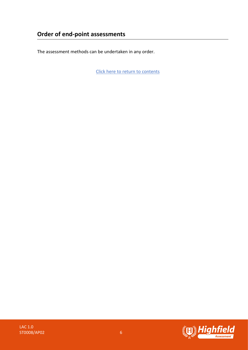The assessment methods can be undertaken in any order.

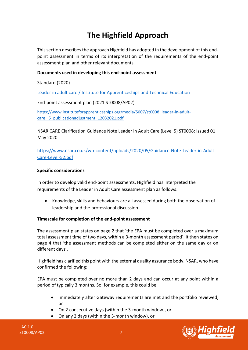### **The Highfield Approach**

<span id="page-6-0"></span>This section describes the approach Highfield has adopted in the development of this endpoint assessment in terms of its interpretation of the requirements of the end-point assessment plan and other relevant documents.

### **Documents used in developing this end-point assessment**

Standard (2020)

[Leader in adult care / Institute for Apprenticeships and Technical Education](https://www.instituteforapprenticeships.org/apprenticeship-standards/leader-in-adult-care-v1-0)

End-point assessment plan (2021 ST0008/AP02)

[https://www.instituteforapprenticeships.org/media/5007/st0008\\_leader-in-adult](https://www.instituteforapprenticeships.org/media/5007/st0008_leader-in-adult-care_l5_publicationadjustment_12032021.pdf)care I5 publicationadjustment 12032021.pdf

NSAR CARE Clarification Guidance Note Leader in Adult Care (Level 5) ST0008: issued 01 May 2020

[https://www.nsar.co.uk/wp-content/uploads/2020/05/Guidance-Note-Leader-in-Adult-](https://www.nsar.co.uk/wp-content/uploads/2020/05/Guidance-Note-Leader-in-Adult-Care-Level-52.pdf)[Care-Level-52.pdf](https://www.nsar.co.uk/wp-content/uploads/2020/05/Guidance-Note-Leader-in-Adult-Care-Level-52.pdf)

### **Specific considerations**

In order to develop valid end-point assessments, Highfield has interpreted the requirements of the Leader in Adult Care assessment plan as follows:

• Knowledge, skills and behaviours are all assessed during both the observation of leadership and the professional discussion.

### **Timescale for completion of the end-point assessment**

The assessment plan states on page 2 that 'the EPA must be completed over a maximum total assessment time of two days, within a 3-month assessment period'. It then states on page 4 that 'the assessment methods can be completed either on the same day or on different days'.

Highfield has clarified this point with the external quality assurance body, NSAR, who have confirmed the following:

EPA must be completed over no more than 2 days and can occur at any point within a period of typically 3 months. So, for example, this could be:

- Immediately after Gateway requirements are met and the portfolio reviewed, or
- On 2 consecutive days (within the 3-month window), or
- On any 2 days (within the 3-month window), or

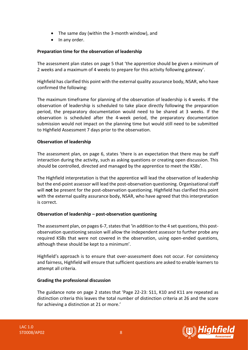- The same day (within the 3-month window), and
- In any order.

### **Preparation time for the observation of leadership**

The assessment plan states on page 5 that 'the apprentice should be given a minimum of 2 weeks and a maximum of 4 weeks to prepare for this activity following gateway'.

Highfield has clarified this point with the external quality assurance body, NSAR, who have confirmed the following:

The maximum timeframe for planning of the observation of leadership is 4 weeks. If the observation of leadership is scheduled to take place directly following the preparation period, the preparatory documentation would need to be shared at 3 weeks. If the observation is scheduled after the 4-week period, the preparatory documentation submission would not impact on the planning time but would still need to be submitted to Highfield Assessment 7 days prior to the observation.

### **Observation of leadership**

The assessment plan, on page 6, states 'there is an expectation that there may be staff interaction during the activity, such as asking questions or creating open discussion. This should be controlled, directed and managed by the apprentice to meet the KSBs'.

The Highfield interpretation is that the apprentice will lead the observation of leadership but the end-point assessor will lead the post-observation questioning. Organisational staff will **not** be present for the post-observation questioning. Highfield has clarified this point with the external quality assurance body, NSAR, who have agreed that this interpretation is correct.

### **Observation of leadership – post-observation questioning**

The assessment plan, on pages 6-7, states that 'in addition to the 4 set questions, this postobservation questioning session will allow the independent assessor to further probe any required KSBs that were not covered in the observation, using open-ended questions, although these should be kept to a minimum'.

Highfield's approach is to ensure that over-assessment does not occur. For consistency and fairness, Highfield will ensure that sufficient questions are asked to enable learners to attempt all criteria.

### **Grading the professional discussion**

The guidance note on page 2 states that 'Page 22-23: S11, K10 and K11 are repeated as distinction criteria this leaves the total number of distinction criteria at 26 and the score for achieving a distinction at 21 or more.'



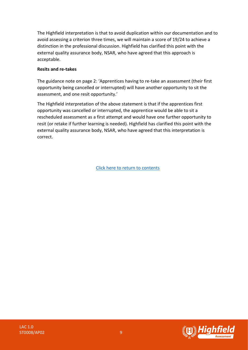The Highfield interpretation is that to avoid duplication within our documentation and to avoid assessing a criterion three times, we will maintain a score of 19/24 to achieve a distinction in the professional discussion. Highfield has clarified this point with the external quality assurance body, NSAR, who have agreed that this approach is acceptable.

### **Resits and re-takes**

The guidance note on page 2: 'Apprentices having to re-take an assessment (their first opportunity being cancelled or interrupted) will have another opportunity to sit the assessment, and one resit opportunity.'

The Highfield interpretation of the above statement is that if the apprentices first opportunity was cancelled or interrupted, the apprentice would be able to sit a rescheduled assessment as a first attempt and would have one further opportunity to resit (or retake if further learning is needed). Highfield has clarified this point with the external quality assurance body, NSAR, who have agreed that this interpretation is correct.

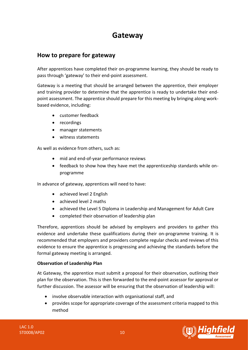### **Gateway**

### <span id="page-9-0"></span>**How to prepare for gateway**

After apprentices have completed their on-programme learning, they should be ready to pass through 'gateway' to their end-point assessment.

Gateway is a meeting that should be arranged between the apprentice, their employer and training provider to determine that the apprentice is ready to undertake their endpoint assessment. The apprentice should prepare for this meeting by bringing along workbased evidence, including:

- customer feedback
- recordings
- manager statements
- witness statements

As well as evidence from others, such as:

- mid and end-of-year performance reviews
- feedback to show how they have met the apprenticeship standards while onprogramme

In advance of gateway, apprentices will need to have:

- achieved level 2 English
- achieved level 2 maths
- achieved the Level 5 Diploma in Leadership and Management for Adult Care
- completed their observation of leadership plan

Therefore, apprentices should be advised by employers and providers to gather this evidence and undertake these qualifications during their on-programme training. It is recommended that employers and providers complete regular checks and reviews of this evidence to ensure the apprentice is progressing and achieving the standards before the formal gateway meeting is arranged.

### **Observation of Leadership Plan**

At Gateway, the apprentice must submit a proposal for their observation, outlining their plan for the observation. This is then forwarded to the end-point assessor for approval or further discussion. The assessor will be ensuring that the observation of leadership will:

- involve observable interaction with organisational staff, and
- provides scope for appropriate coverage of the assessment criteria mapped to this method



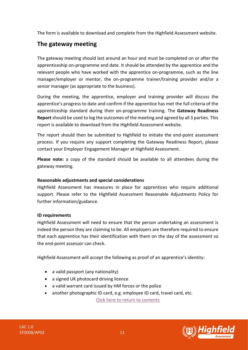The form is available to download and complete from the Highfield Assessment website.

### **The gateway meeting**

The gateway meeting should last around an hour and must be completed on or after the apprenticeship on-programme end date. It should be attended by the apprentice and the relevant people who have worked with the apprentice on-programme, such as the line manager/employer or mentor, the on-programme trainer/training provider and/or a senior manager (as appropriate to the business).

During the meeting, the apprentice, employer and training provider will discuss the apprentice's progress to date and confirm if the apprentice has met the full criteria of the apprenticeship standard during their on-programme training. The **Gateway Readiness Report** should be used to log the outcomes of the meeting and agreed by all 3 parties. This report is available to download from the Highfield Assessment website.

The report should then be submitted to Highfield to initiate the end-point assessment process. If you require any support completing the Gateway Readiness Report, please contact your Employer Engagement Manager at Highfield Assessment.

**Please note:** a copy of the standard should be available to all attendees during the gateway meeting.

### **Reasonable adjustments and special considerations**

Highfield Assessment has measures in place for apprentices who require additional support. Please refer to the Highfield Assessment Reasonable Adjustments Policy for further information/guidance.

### **ID requirements**

Highfield Assessment will need to ensure that the person undertaking an assessment is indeed the person they are claiming to be. All employers are therefore required to ensure that each apprentice has their identification with them on the day of the assessment so the end-point assessor can check.

Highfield Assessment will accept the following as proof of an apprentice's identity:

- a valid passport (any nationality)
- a signed UK photocard driving licence
- a valid warrant card issued by HM forces or the police
- another photographic ID card, e.g. employee ID card, travel card, etc.

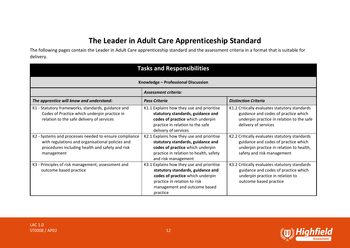### **The Leader in Adult Care Apprenticeship Standard**

The following pages contain the Leader in Adult Care apprenticeship standard and the assessment criteria in a format that is suitable for delivery.

<span id="page-11-0"></span>

| <b>Tasks and Responsibilities</b>                                                                                                                                           |                                                                                                                                                                                                |                                                                                                                                                                 |  |
|-----------------------------------------------------------------------------------------------------------------------------------------------------------------------------|------------------------------------------------------------------------------------------------------------------------------------------------------------------------------------------------|-----------------------------------------------------------------------------------------------------------------------------------------------------------------|--|
| Knowledge - Professional Discussion                                                                                                                                         |                                                                                                                                                                                                |                                                                                                                                                                 |  |
| <b>Assessment criteria:</b>                                                                                                                                                 |                                                                                                                                                                                                |                                                                                                                                                                 |  |
| The apprentice will know and understand:                                                                                                                                    | <b>Pass Criteria</b>                                                                                                                                                                           | <b>Distinction Criteria</b>                                                                                                                                     |  |
| K1 - Statutory frameworks, standards, guidance and<br>Codes of Practice which underpin practice in<br>relation to the safe delivery of services                             | K1.1 Explains how they use and prioritise<br>statutory standards, guidance and<br>codes of practice which underpin<br>practice in relation to the safe<br>delivery of services                 | K1.2 Critically evaluates statutory standards<br>guidance and codes of practice which<br>underpin practice in relation to the safe<br>delivery of services      |  |
| K2 - Systems and processes needed to ensure compliance<br>with regulations and organisational policies and<br>procedures including health and safety and risk<br>management | K2.1 Explains how they use and prioritise<br>statutory standards, guidance and<br>codes of practice which underpin<br>practice in relation to health, safety<br>and risk management            | K2.2 Critically evaluates statutory standards<br>guidance and codes of practice which<br>underpin practice in relation to health,<br>safety and risk management |  |
| K3 - Principles of risk management, assessment and<br>outcome based practice                                                                                                | K3.1 Explains how they use and prioritise<br>statutory standards, guidance and<br>codes of practice which underpin<br>practice in relation to risk<br>management and outcome based<br>practice | K3.2 Critically evaluates statutory standards<br>guidance and codes of practice which<br>underpin practice in relation to<br>outcome based practice             |  |



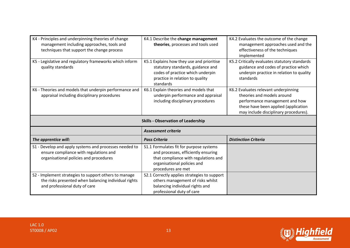| K4 - Principles and underpinning theories of change<br>management including approaches, tools and<br>techniques that support the change process | K4.1 Describe the change management<br>theories, processes and tools used                                                                                                   | K4.2 Evaluates the outcome of the change<br>management approaches used and the<br>effectiveness of the techniques<br>implemented                                                      |
|-------------------------------------------------------------------------------------------------------------------------------------------------|-----------------------------------------------------------------------------------------------------------------------------------------------------------------------------|---------------------------------------------------------------------------------------------------------------------------------------------------------------------------------------|
| K5 - Legislative and regulatory frameworks which inform<br>quality standards                                                                    | K5.1 Explains how they use and prioritise<br>statutory standards, guidance and<br>codes of practice which underpin<br>practice in relation to quality<br>standards          | K5.2 Critically evaluates statutory standards<br>guidance and codes of practice which<br>underpin practice in relation to quality<br>standards                                        |
| K6 - Theories and models that underpin performance and<br>appraisal including disciplinary procedures                                           | K6.1 Explain theories and models that<br>underpin performance and appraisal<br>including disciplinary procedures                                                            | K6.2 Evaluates relevant underpinning<br>theories and models around<br>performance management and how<br>these have been applied (application<br>may include disciplinary procedures). |
|                                                                                                                                                 |                                                                                                                                                                             |                                                                                                                                                                                       |
|                                                                                                                                                 | <b>Skills - Observation of Leadership</b>                                                                                                                                   |                                                                                                                                                                                       |
|                                                                                                                                                 | <b>Assessment criteria</b>                                                                                                                                                  |                                                                                                                                                                                       |
| The apprentice will:                                                                                                                            | <b>Pass Criteria</b>                                                                                                                                                        | <b>Distinction Criteria</b>                                                                                                                                                           |
| S1 - Develop and apply systems and processes needed to<br>ensure compliance with regulations and<br>organisational policies and procedures      | S1.1 Formulates fit for purpose systems<br>and processes, efficiently ensuring<br>that compliance with regulations and<br>organisational policies and<br>procedures are met |                                                                                                                                                                                       |

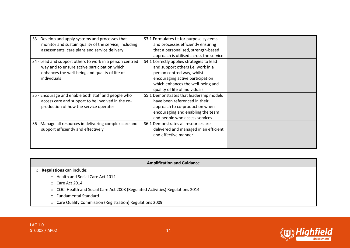| S3 - Develop and apply systems and processes that        | S3.1 Formulates fit for purpose systems   |  |
|----------------------------------------------------------|-------------------------------------------|--|
| monitor and sustain quality of the service, including    | and processes efficiently ensuring        |  |
| assessments, care plans and service delivery             | that a personalised, strength-based       |  |
|                                                          | approach is utilised across the service   |  |
| S4 - Lead and support others to work in a person centred | S4.1 Correctly applies strategies to lead |  |
| way and to ensure active participation which             | and support others i.e. work in a         |  |
| enhances the well-being and quality of life of           | person centred way, whilst                |  |
| individuals                                              | encouraging active participation          |  |
|                                                          | which enhances the well-being and         |  |
|                                                          | quality of life of individuals            |  |
| S5 - Encourage and enable both staff and people who      | S5.1 Demonstrates that leadership models  |  |
| access care and support to be involved in the co-        | have been referenced in their             |  |
| production of how the service operates                   | approach to co-production when            |  |
|                                                          | encouraging and enabling the team         |  |
|                                                          | and people who access services            |  |
| S6 - Manage all resources in delivering complex care and | S6.1 Demonstrates all resources are       |  |
| support efficiently and effectively                      | delivered and managed in an efficient     |  |
|                                                          | and effective manner                      |  |
|                                                          |                                           |  |
|                                                          |                                           |  |

#### **Amplification and Guidance**

### o **Regulations** can include:

- o Health and Social Care Act 2012
- o Care Act 2014
- o CQC: Health and Social Care Act 2008 (Regulated Activities) Regulations 2014
- o Fundamental Standard
- o Care Quality Commission (Registration) Regulations 2009

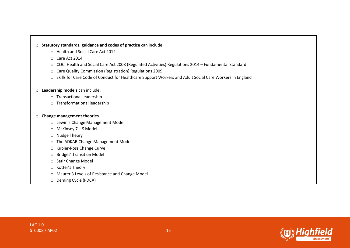#### o **Statutory standards, guidance and codes of practice** can include:

- o Health and Social Care Act 2012
- o Care Act 2014
- o CQC: Health and Social Care Act 2008 (Regulated Activities) Regulations 2014 Fundamental Standard
- o Care Quality Commission (Registration) Regulations 2009
- o Skills for Care Code of Conduct for Healthcare Support Workers and Adult Social Care Workers in England

#### o **Leadership models** can include:

- o Transactional leadership
- o Transformational leadership

#### o **Change management theories**

- o Lewin's Change Management Model
- o McKinsey 7 S Model
- o Nudge Theory
- o The ADKAR Change Management Model
- o Kubler-Ross Change Curve
- o Bridges' Transition Model
- o Satir Change Model
- o Kotter's Theory
- o Maurer 3 Levels of Resistance and Change Model
- o Deming Cycle (PDCA)



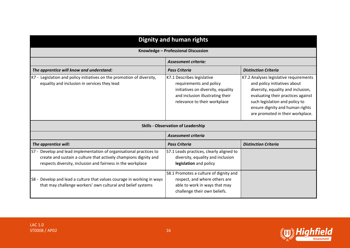| <b>Dignity and human rights</b>                                                                                                                                                                        |                                                                                                                                                                 |                                                                                                                                                                                                                                                             |  |
|--------------------------------------------------------------------------------------------------------------------------------------------------------------------------------------------------------|-----------------------------------------------------------------------------------------------------------------------------------------------------------------|-------------------------------------------------------------------------------------------------------------------------------------------------------------------------------------------------------------------------------------------------------------|--|
| Knowledge - Professional Discussion                                                                                                                                                                    |                                                                                                                                                                 |                                                                                                                                                                                                                                                             |  |
| <b>Assessment criteria:</b>                                                                                                                                                                            |                                                                                                                                                                 |                                                                                                                                                                                                                                                             |  |
| The apprentice will know and understand:                                                                                                                                                               | <b>Pass Criteria</b>                                                                                                                                            | <b>Distinction Criteria</b>                                                                                                                                                                                                                                 |  |
| K7 - Legislation and policy initiatives on the promotion of diversity,<br>equality and inclusion in services they lead                                                                                 | K7.1 Describes legislative<br>requirements and policy<br>initiatives on diversity, equality<br>and inclusion illustrating their<br>relevance to their workplace | K7.2 Analyses legislative requirements<br>and policy initiatives about<br>diversity, equality and inclusion,<br>evaluating their practices against<br>such legislation and policy to<br>ensure dignity and human rights<br>are promoted in their workplace. |  |
|                                                                                                                                                                                                        | <b>Skills - Observation of Leadership</b>                                                                                                                       |                                                                                                                                                                                                                                                             |  |
|                                                                                                                                                                                                        | <b>Assessment criteria</b>                                                                                                                                      |                                                                                                                                                                                                                                                             |  |
| The apprentice will:                                                                                                                                                                                   | <b>Pass Criteria</b>                                                                                                                                            | <b>Distinction Criteria</b>                                                                                                                                                                                                                                 |  |
| S7 - Develop and lead implementation of organisational practices to<br>create and sustain a culture that actively champions dignity and<br>respects diversity, inclusion and fairness in the workplace | S7.1 Leads practices, clearly aligned to<br>diversity, equality and inclusion<br>legislation and policy                                                         |                                                                                                                                                                                                                                                             |  |
| S8 - Develop and lead a culture that values courage in working in ways<br>that may challenge workers' own cultural and belief systems                                                                  | S8.1 Promotes a culture of dignity and<br>respect, and where others are<br>able to work in ways that may<br>challenge their own beliefs.                        |                                                                                                                                                                                                                                                             |  |

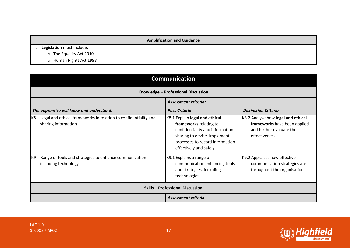### **Amplification and Guidance**

- o **Legislation** must include:
	- o The Equality Act 2010
	- o Human Rights Act 1998

| <b>Communication</b>                                                                        |                                                                                                                                                                                          |                                                                                                                   |  |
|---------------------------------------------------------------------------------------------|------------------------------------------------------------------------------------------------------------------------------------------------------------------------------------------|-------------------------------------------------------------------------------------------------------------------|--|
| Knowledge - Professional Discussion                                                         |                                                                                                                                                                                          |                                                                                                                   |  |
| <b>Assessment criteria:</b>                                                                 |                                                                                                                                                                                          |                                                                                                                   |  |
| The apprentice will know and understand:                                                    | <b>Pass Criteria</b>                                                                                                                                                                     | <b>Distinction Criteria</b>                                                                                       |  |
| K8 - Legal and ethical frameworks in relation to confidentiality and<br>sharing information | K8.1 Explain legal and ethical<br>frameworks relating to<br>confidentiality and information<br>sharing to devise. Implement<br>processes to record information<br>effectively and safely | K8.2 Analyse how legal and ethical<br>frameworks have been applied<br>and further evaluate their<br>effectiveness |  |
| Range of tools and strategies to enhance communication<br>K9 -<br>including technology      | K9.1 Explains a range of<br>communication enhancing tools<br>and strategies, including<br>technologies                                                                                   | K9.2 Appraises how effective<br>communication strategies are<br>throughout the organisation                       |  |
|                                                                                             | <b>Skills - Professional Discussion</b>                                                                                                                                                  |                                                                                                                   |  |
|                                                                                             | <b>Assessment criteria</b>                                                                                                                                                               |                                                                                                                   |  |

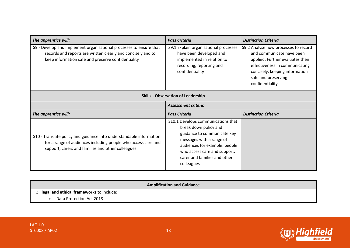| The apprentice will:                                                                                                                                                                      | <b>Pass Criteria</b>                                                                                                                                                                                                                  | <b>Distinction Criteria</b>                                                                                                                                                                                          |  |  |
|-------------------------------------------------------------------------------------------------------------------------------------------------------------------------------------------|---------------------------------------------------------------------------------------------------------------------------------------------------------------------------------------------------------------------------------------|----------------------------------------------------------------------------------------------------------------------------------------------------------------------------------------------------------------------|--|--|
| S9 - Develop and implement organisational processes to ensure that<br>records and reports are written clearly and concisely and to<br>keep information safe and preserve confidentiality  | S9.1 Explain organisational processes<br>have been developed and<br>implemented in relation to<br>recording, reporting and<br>confidentiality                                                                                         | S9.2 Analyse how processes to record<br>and communicate have been<br>applied. Further evaluates their<br>effectiveness in communicating<br>concisely, keeping information<br>safe and preserving<br>confidentiality. |  |  |
|                                                                                                                                                                                           | <b>Skills - Observation of Leadership</b>                                                                                                                                                                                             |                                                                                                                                                                                                                      |  |  |
|                                                                                                                                                                                           | Assessment criteria                                                                                                                                                                                                                   |                                                                                                                                                                                                                      |  |  |
| The apprentice will:                                                                                                                                                                      | <b>Pass Criteria</b>                                                                                                                                                                                                                  | <b>Distinction Criteria</b>                                                                                                                                                                                          |  |  |
| S10 - Translate policy and guidance into understandable information<br>for a range of audiences including people who access care and<br>support, carers and families and other colleagues | S10.1 Develops communications that<br>break down policy and<br>guidance to communicate key<br>messages with a range of<br>audiences for example: people<br>who access care and support,<br>carer and families and other<br>colleagues |                                                                                                                                                                                                                      |  |  |

|                                            | <b>Amplification and Guidance</b> |
|--------------------------------------------|-----------------------------------|
| o legal and ethical frameworks to include: |                                   |
| Data Protection Act 2018                   |                                   |

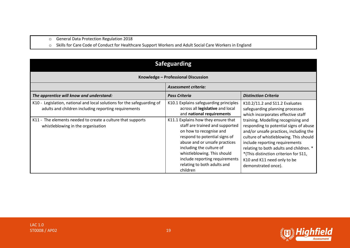- o General Data Protection Regulation 2018
- o Skills for Care Code of Conduct for Healthcare Support Workers and Adult Social Care Workers in England

| <b>Safeguarding</b>                                                                                                                                                                                                                  |                                                                                                                                                                                                                                                                                                                                                                                                                        |                                                                                                                                                                                                                                                                                                                                                                                                                                                          |  |
|--------------------------------------------------------------------------------------------------------------------------------------------------------------------------------------------------------------------------------------|------------------------------------------------------------------------------------------------------------------------------------------------------------------------------------------------------------------------------------------------------------------------------------------------------------------------------------------------------------------------------------------------------------------------|----------------------------------------------------------------------------------------------------------------------------------------------------------------------------------------------------------------------------------------------------------------------------------------------------------------------------------------------------------------------------------------------------------------------------------------------------------|--|
| Knowledge - Professional Discussion                                                                                                                                                                                                  |                                                                                                                                                                                                                                                                                                                                                                                                                        |                                                                                                                                                                                                                                                                                                                                                                                                                                                          |  |
| <b>Assessment criteria:</b>                                                                                                                                                                                                          |                                                                                                                                                                                                                                                                                                                                                                                                                        |                                                                                                                                                                                                                                                                                                                                                                                                                                                          |  |
| The apprentice will know and understand:                                                                                                                                                                                             | <b>Pass Criteria</b>                                                                                                                                                                                                                                                                                                                                                                                                   | <b>Distinction Criteria</b>                                                                                                                                                                                                                                                                                                                                                                                                                              |  |
| K10 - Legislation, national and local solutions for the safeguarding of<br>adults and children including reporting requirements<br>K11 - The elements needed to create a culture that supports<br>whistleblowing in the organisation | K10.1 Explains safeguarding principles<br>across all legislative and local<br>and national requirements<br>K11.1 Explains how they ensure that<br>staff are trained and supported<br>on how to recognise and<br>respond to potential signs of<br>abuse and or unsafe practices<br>including the culture of<br>whistleblowing. This should<br>include reporting requirements<br>relating to both adults and<br>children | K10.2/11.2 and S11.2 Evaluates<br>safeguarding planning processes<br>which incorporates effective staff<br>training. Modelling recognising and<br>responding to potential signs of abuse<br>and/or unsafe practices, including the<br>culture of whistleblowing. This should<br>include reporting requirements<br>relating to both adults and children. *<br>*(This distinction criterion for S11,<br>K10 and K11 need only to be<br>demonstrated once). |  |

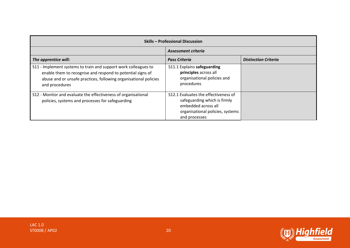| <b>Skills - Professional Discussion</b>                                                                                                                                                                             |                                                                                                                                                  |                             |  |
|---------------------------------------------------------------------------------------------------------------------------------------------------------------------------------------------------------------------|--------------------------------------------------------------------------------------------------------------------------------------------------|-----------------------------|--|
| Assessment criteria                                                                                                                                                                                                 |                                                                                                                                                  |                             |  |
| The apprentice will:                                                                                                                                                                                                | <b>Pass Criteria</b>                                                                                                                             | <b>Distinction Criteria</b> |  |
| S11 - Implement systems to train and support work colleagues to<br>enable them to recognise and respond to potential signs of<br>abuse and or unsafe practices, following organisational policies<br>and procedures | S11.1 Explains safeguarding<br>principles across all<br>organisational policies and<br>procedures                                                |                             |  |
| S12 - Monitor and evaluate the effectiveness of organisational<br>policies, systems and processes for safeguarding                                                                                                  | S12.1 Evaluates the effectiveness of<br>safeguarding which is firmly<br>embedded across all<br>organisational policies, systems<br>and processes |                             |  |

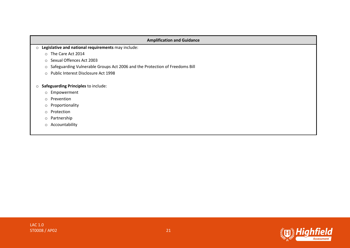| <b>Amplification and Guidance</b>                                                      |  |  |
|----------------------------------------------------------------------------------------|--|--|
| Legislative and national requirements may include:<br>$\circ$                          |  |  |
| The Care Act 2014<br>$\circ$                                                           |  |  |
| Sexual Offences Act 2003<br>$\circ$                                                    |  |  |
| Safeguarding Vulnerable Groups Act 2006 and the Protection of Freedoms Bill<br>$\circ$ |  |  |
| Public Interest Disclosure Act 1998<br>$\circ$                                         |  |  |
| Safeguarding Principles to include:<br>$\circ$                                         |  |  |
| Empowerment<br>$\circ$                                                                 |  |  |
| Prevention<br>$\circ$                                                                  |  |  |
| Proportionality<br>$\circ$                                                             |  |  |
| Protection<br>$\circ$                                                                  |  |  |
| Partnership<br>$\circ$                                                                 |  |  |
| Accountability<br>$\circ$                                                              |  |  |

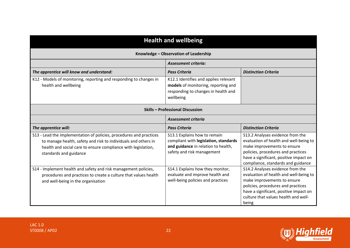| <b>Health and wellbeing</b>                                                                                                                                                                                                      |                                                                                                                                            |                                                                                                                                                                                                                                            |
|----------------------------------------------------------------------------------------------------------------------------------------------------------------------------------------------------------------------------------|--------------------------------------------------------------------------------------------------------------------------------------------|--------------------------------------------------------------------------------------------------------------------------------------------------------------------------------------------------------------------------------------------|
| Knowledge - Observation of Leadership                                                                                                                                                                                            |                                                                                                                                            |                                                                                                                                                                                                                                            |
|                                                                                                                                                                                                                                  | <b>Assessment criteria:</b>                                                                                                                |                                                                                                                                                                                                                                            |
| The apprentice will know and understand:                                                                                                                                                                                         | <b>Pass Criteria</b>                                                                                                                       | <b>Distinction Criteria</b>                                                                                                                                                                                                                |
| K12 - Models of monitoring, reporting and responding to changes in<br>health and wellbeing                                                                                                                                       | K12.1 Identifies and applies relevant<br>models of monitoring, reporting and<br>responding to changes in health and<br>wellbeing           |                                                                                                                                                                                                                                            |
| <b>Skills - Professional Discussion</b>                                                                                                                                                                                          |                                                                                                                                            |                                                                                                                                                                                                                                            |
|                                                                                                                                                                                                                                  | Assessment criteria                                                                                                                        |                                                                                                                                                                                                                                            |
| The apprentice will:                                                                                                                                                                                                             | <b>Pass Criteria</b>                                                                                                                       | <b>Distinction Criteria</b>                                                                                                                                                                                                                |
| S13 - Lead the implementation of policies, procedures and practices<br>to manage health, safety and risk to individuals and others in<br>health and social care to ensure compliance with legislation,<br>standards and guidance | S13.1 Explains how to remain<br>compliant with legislation, standards<br>and guidance in relation to health,<br>safety and risk management | S13.2 Analyses evidence from the<br>evaluation of health and well-being to<br>make improvements to ensure<br>policies, procedures and practices<br>have a significant, positive impact on<br>compliance, standards and guidance            |
| S14 - Implement health and safety and risk management policies,<br>procedures and practices to create a culture that values health<br>and well-being in the organisation                                                         | S14.1 Explains how they monitor,<br>evaluate and improve health and<br>well-being policies and practices                                   | S14.2 Analyses evidence from the<br>evaluation of health and well-being to<br>make improvements to ensure<br>policies, procedures and practices<br>have a significant, positive impact on<br>culture that values health and well-<br>being |

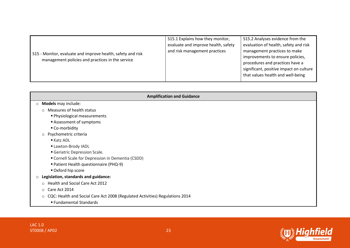| S15 - Monitor, evaluate and improve health, safety and risk<br>management policies and practices in the service | S15.1 Explains how they monitor,<br>evaluate and improve health, safety<br>and risk management practices | S15.2 Analyses evidence from the<br>evaluation of health, safety and risk<br>management practices to make<br>improvements to ensure policies,<br>procedures and practices have a<br>significant, positive impact on culture<br>that values health and well-being |
|-----------------------------------------------------------------------------------------------------------------|----------------------------------------------------------------------------------------------------------|------------------------------------------------------------------------------------------------------------------------------------------------------------------------------------------------------------------------------------------------------------------|
|-----------------------------------------------------------------------------------------------------------------|----------------------------------------------------------------------------------------------------------|------------------------------------------------------------------------------------------------------------------------------------------------------------------------------------------------------------------------------------------------------------------|

| <b>Amplification and Guidance</b>                                                       |  |  |  |
|-----------------------------------------------------------------------------------------|--|--|--|
| Models may include:<br>$\circ$                                                          |  |  |  |
| Measures of health status<br>$\circ$                                                    |  |  |  |
| • Physiological measurements                                                            |  |  |  |
| Assessment of symptoms                                                                  |  |  |  |
| ■ Co-morbidity                                                                          |  |  |  |
| Psychometric criteria<br>$\circ$                                                        |  |  |  |
| $\blacksquare$ Katz ADL                                                                 |  |  |  |
| - Lawton-Brody IADL                                                                     |  |  |  |
| Geriatric Depression Scale.                                                             |  |  |  |
| Cornell Scale for Depression in Dementia (CSDD)                                         |  |  |  |
| Patient Health questionnaire (PHQ-9)                                                    |  |  |  |
| Oxford hip score                                                                        |  |  |  |
| Legislation, standards and guidance:<br>$\circ$                                         |  |  |  |
| Health and Social Care Act 2012<br>$\circ$                                              |  |  |  |
| Care Act 2014<br>$\circ$                                                                |  |  |  |
| CQC: Health and Social Care Act 2008 (Regulated Activities) Regulations 2014<br>$\circ$ |  |  |  |
| ■ Fundamental Standards                                                                 |  |  |  |

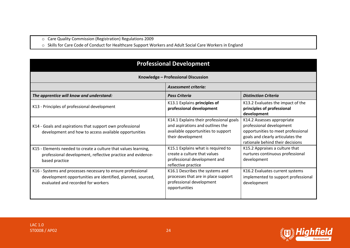o Care Quality Commission (Registration) Regulations 2009

o Skills for Care Code of Conduct for Healthcare Support Workers and Adult Social Care Workers in England

| <b>Professional Development</b>                                                                                                                                   |                                                                                                                                        |                                                                                                                                                                       |
|-------------------------------------------------------------------------------------------------------------------------------------------------------------------|----------------------------------------------------------------------------------------------------------------------------------------|-----------------------------------------------------------------------------------------------------------------------------------------------------------------------|
| Knowledge - Professional Discussion                                                                                                                               |                                                                                                                                        |                                                                                                                                                                       |
| <b>Assessment criteria:</b>                                                                                                                                       |                                                                                                                                        |                                                                                                                                                                       |
| The apprentice will know and understand:                                                                                                                          | <b>Pass Criteria</b>                                                                                                                   | <b>Distinction Criteria</b>                                                                                                                                           |
| K13 - Principles of professional development                                                                                                                      | K13.1 Explains principles of<br>professional development                                                                               | K13.2 Evaluates the impact of the<br>principles of professional<br>development                                                                                        |
| K14 - Goals and aspirations that support own professional<br>development and how to access available opportunities                                                | K14.1 Explains their professional goals<br>and aspirations and outlines the<br>available opportunities to support<br>their development | K14.2 Assesses appropriate<br>professional development<br>opportunities to meet professional<br>goals and clearly articulates the<br>rationale behind their decisions |
| K15 - Elements needed to create a culture that values learning,<br>professional development, reflective practice and evidence-<br>based practice                  | K15.1 Explains what is required to<br>create a culture that values<br>professional development and<br>reflective practice              | K15.2 Appraises a culture that<br>nurtures continuous professional<br>development                                                                                     |
| K16 - Systems and processes necessary to ensure professional<br>development opportunities are identified, planned, sourced,<br>evaluated and recorded for workers | K16.1 Describes the systems and<br>processes that are in place support<br>professional development<br>opportunities                    | K16.2 Evaluates current systems<br>implemented to support professional<br>development                                                                                 |

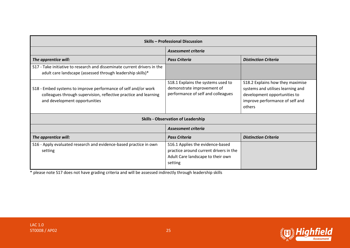| Skills - Professional Discussion                                                                                                                                    |                                                                                                                            |                                                                                                                                                    |
|---------------------------------------------------------------------------------------------------------------------------------------------------------------------|----------------------------------------------------------------------------------------------------------------------------|----------------------------------------------------------------------------------------------------------------------------------------------------|
|                                                                                                                                                                     | Assessment criteria                                                                                                        |                                                                                                                                                    |
| The apprentice will:                                                                                                                                                | <b>Pass Criteria</b>                                                                                                       | <b>Distinction Criteria</b>                                                                                                                        |
| S17 - Take initiative to research and disseminate current drivers in the<br>adult care landscape (assessed through leadership skills)*                              |                                                                                                                            |                                                                                                                                                    |
| S18 - Embed systems to improve performance of self and/or work<br>colleagues through supervision, reflective practice and learning<br>and development opportunities | S18.1 Explains the systems used to<br>demonstrate improvement of<br>performance of self and colleagues                     | S18.2 Explains how they maximise<br>systems and utilises learning and<br>development opportunities to<br>improve performance of self and<br>others |
|                                                                                                                                                                     | <b>Skills - Observation of Leadership</b>                                                                                  |                                                                                                                                                    |
|                                                                                                                                                                     | Assessment criteria                                                                                                        |                                                                                                                                                    |
| The apprentice will:                                                                                                                                                | <b>Pass Criteria</b>                                                                                                       | <b>Distinction Criteria</b>                                                                                                                        |
| S16 - Apply evaluated research and evidence-based practice in own<br>setting                                                                                        | S16.1 Applies the evidence-based<br>practice around current drivers in the<br>Adult Care landscape to their own<br>setting |                                                                                                                                                    |

\* please note S17 does not have grading criteria and will be assessed indirectly through leadership skills

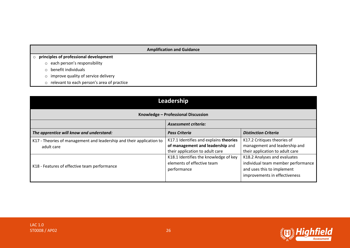#### **Amplification and Guidance**

#### o **principles of professional development**

- o each person's responsibility
- o benefit individuals
- o improve quality of service delivery
- o relevant to each person's area of practice

| Leadership                                                                         |                                                                                                               |                                                                                                                                   |
|------------------------------------------------------------------------------------|---------------------------------------------------------------------------------------------------------------|-----------------------------------------------------------------------------------------------------------------------------------|
| Knowledge - Professional Discussion                                                |                                                                                                               |                                                                                                                                   |
| <b>Assessment criteria:</b>                                                        |                                                                                                               |                                                                                                                                   |
| The apprentice will know and understand:                                           | <b>Pass Criteria</b>                                                                                          | <b>Distinction Criteria</b>                                                                                                       |
| K17 - Theories of management and leadership and their application to<br>adult care | K17.1 Identifies and explains theories<br>of management and leadership and<br>their application to adult care | K17.2 Critiques theories of<br>management and leadership and<br>their application to adult care                                   |
| K18 - Features of effective team performance                                       | K18.1 Identifies the knowledge of key<br>elements of effective team<br>performance                            | K18.2 Analyses and evaluates<br>individual team member performance<br>and uses this to implement<br>improvements in effectiveness |

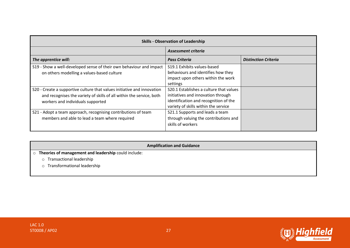| <b>Skills - Observation of Leadership</b>                                                                                                                                            |                                                                                                                                                                |                             |
|--------------------------------------------------------------------------------------------------------------------------------------------------------------------------------------|----------------------------------------------------------------------------------------------------------------------------------------------------------------|-----------------------------|
|                                                                                                                                                                                      | Assessment criteria                                                                                                                                            |                             |
| The apprentice will:                                                                                                                                                                 | <b>Pass Criteria</b>                                                                                                                                           | <b>Distinction Criteria</b> |
| S19 - Show a well-developed sense of their own behaviour and impact<br>on others modelling a values-based culture                                                                    | S19.1 Exhibits values-based<br>behaviours and identifies how they<br>impact upon others within the work<br>settings                                            |                             |
| S20 - Create a supportive culture that values initiative and innovation<br>and recognises the variety of skills of all within the service, both<br>workers and individuals supported | S20.1 Establishes a culture that values<br>initiatives and innovation through<br>identification and recognition of the<br>variety of skills within the service |                             |
| S21 - Adopt a team approach, recognising contributions of team<br>members and able to lead a team where required                                                                     | S21.1 Supports and leads a team<br>through valuing the contributions and<br>skills of workers                                                                  |                             |

**Amplification and Guidance**

- o **Theories of management and leadership** could include:
	- o Transactional leadership
	- o Transformational leadership

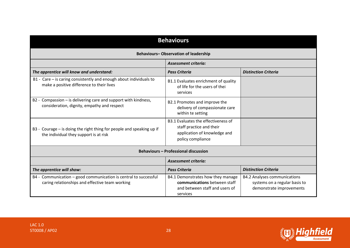| <b>Behaviours</b>                                                                                                   |                                                                                                                      |                                                                                                  |
|---------------------------------------------------------------------------------------------------------------------|----------------------------------------------------------------------------------------------------------------------|--------------------------------------------------------------------------------------------------|
| <b>Behaviours-Observation of leadership</b>                                                                         |                                                                                                                      |                                                                                                  |
|                                                                                                                     | <b>Assessment criteria:</b>                                                                                          |                                                                                                  |
| The apprentice will know and understand:                                                                            | <b>Pass Criteria</b>                                                                                                 | <b>Distinction Criteria</b>                                                                      |
| B1 - Care - is caring consistently and enough about individuals to<br>make a positive difference to their lives     | B1.1 Evaluates enrichment of quality<br>of life for the users of thei<br>services                                    |                                                                                                  |
| B2 - Compassion – is delivering care and support with kindness,<br>consideration, dignity, empathy and respect      | B2.1 Promotes and improve the<br>delivery of compassionate care<br>within te setting                                 |                                                                                                  |
| B3 - Courage – is doing the right thing for people and speaking up if<br>the individual they support is at risk     | B3.1 Evaluates the effectiveness of<br>staff practice and their<br>application of knowledge and<br>policy compliance |                                                                                                  |
|                                                                                                                     | <b>Behaviours - Professional discussion</b>                                                                          |                                                                                                  |
|                                                                                                                     | <b>Assessment criteria:</b>                                                                                          |                                                                                                  |
| The apprentice will show:                                                                                           | <b>Pass Criteria</b>                                                                                                 | <b>Distinction Criteria</b>                                                                      |
| B4 - Communication - good communication is central to successful<br>caring relationships and effective team working | B4.1 Demonstrates how they manage<br>communications between staff<br>and between staff and users of<br>services      | <b>B4.2 Analyses communications</b><br>systems on a regular basis to<br>demonstrate improvements |

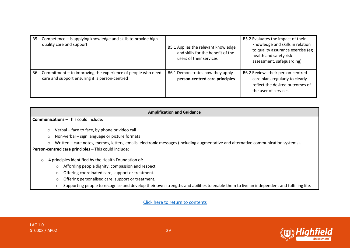| B5 - Competence - is applying knowledge and skills to provide high<br>quality care and support                     | B5.1 Applies the relevant knowledge<br>and skills for the benefit of the<br>users of their services | B5.2 Evaluates the impact of their<br>knowledge and skills in relation<br>to quality assurance exercise (eg<br>health and safety risk<br>assessment, safeguarding) |
|--------------------------------------------------------------------------------------------------------------------|-----------------------------------------------------------------------------------------------------|--------------------------------------------------------------------------------------------------------------------------------------------------------------------|
| B6 - Commitment – to improving the experience of people who need<br>care and support ensuring it is person-centred | B6.1 Demonstrates how they apply<br>person-centred care principles                                  | B6.2 Reviews their person-centred<br>care plans regularly to clearly<br>reflect the desired outcomes of<br>the user of services                                    |

| <b>Amplification and Guidance</b>                                                                                                                  |  |  |  |
|----------------------------------------------------------------------------------------------------------------------------------------------------|--|--|--|
| <b>Communications</b> – This could include:                                                                                                        |  |  |  |
| Verbal – face to face, by phone or video call<br>$\circ$                                                                                           |  |  |  |
| Non-verbal – sign language or picture formats<br>$\circ$                                                                                           |  |  |  |
| Written – care notes, memos, letters, emails, electronic messages (including augmentative and alternative communication systems).<br>$\circ$       |  |  |  |
| Person-centred care principles - This could include:                                                                                               |  |  |  |
| 4 principles identified by the Health Foundation of:<br>$\circ$                                                                                    |  |  |  |
| Affording people dignity, compassion and respect.<br>$\circ$                                                                                       |  |  |  |
| Offering coordinated care, support or treatment.                                                                                                   |  |  |  |
| Offering personalised care, support or treatment.                                                                                                  |  |  |  |
| Supporting people to recognise and develop their own strengths and abilities to enable them to live an independent and fulfilling life.<br>$\circ$ |  |  |  |

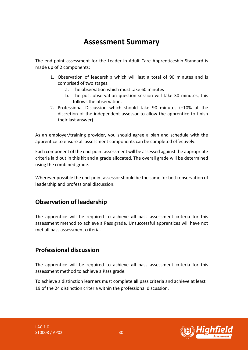### **Assessment Summary**

<span id="page-29-0"></span>The end-point assessment for the Leader in Adult Care Apprenticeship Standard is made up of 2 components:

- 1. Observation of leadership which will last a total of 90 minutes and is comprised of two stages.
	- a. The observation which must take 60 minutes
	- b. The post-observation question session will take 30 minutes, this follows the observation.
- 2. Professional Discussion which should take 90 minutes (+10% at the discretion of the independent assessor to allow the apprentice to finish their last answer)

As an employer/training provider, you should agree a plan and schedule with the apprentice to ensure all assessment components can be completed effectively.

Each component of the end-point assessment will be assessed against the appropriate criteria laid out in this kit and a grade allocated. The overall grade will be determined using the combined grade.

Wherever possible the end-point assessor should be the same for both observation of leadership and professional discussion.

### **Observation of leadership**

The apprentice will be required to achieve **all** pass assessment criteria for this assessment method to achieve a Pass grade. Unsuccessful apprentices will have not met all pass assessment criteria.

### **Professional discussion**

The apprentice will be required to achieve **all** pass assessment criteria for this assessment method to achieve a Pass grade.

To achieve a distinction learners must complete **all** pass criteria and achieve at least 19 of the 24 distinction criteria within the professional discussion.

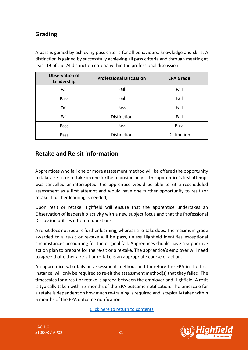### **Grading**

A pass is gained by achieving pass criteria for all behaviours, knowledge and skills. A distinction is gained by successfully achieving all pass criteria and through meeting at least 19 of the 24 distinction criteria within the professional discussion.

| <b>Observation of</b><br>Leadership | <b>Professional Discussion</b> | <b>EPA Grade</b> |
|-------------------------------------|--------------------------------|------------------|
| Fail                                | Fail                           | Fail             |
| Pass                                | Fail                           | Fail             |
| Fail                                | Pass                           | Fail             |
| Fail                                | Distinction                    | Fail             |
| Pass                                | Pass                           | Pass             |
| Pass                                | Distinction                    | Distinction      |

### **Retake and Re-sit information**

Apprentices who fail one or more assessment method will be offered the opportunity to take a re-sit or re-take on one further occasion only. If the apprentice's first attempt was cancelled or interrupted, the apprentice would be able to sit a rescheduled assessment as a first attempt and would have one further opportunity to resit (or retake if further learning is needed).

Upon resit or retake Highfield will ensure that the apprentice undertakes an Observation of leadership activity with a new subject focus and that the Professional Discussion utilises different questions.

A re-sit does not require further learning, whereas a re-take does. The maximum grade awarded to a re-sit or re-take will be pass, unless Highfield identifies exceptional circumstances accounting for the original fail. Apprentices should have a supportive action plan to prepare for the re-sit or a re-take. The apprentice's employer will need to agree that either a re-sit or re-take is an appropriate course of action.

An apprentice who fails an assessment method, and therefore the EPA in the first instance, will only be required to re-sit the assessment method(s) that they failed. The timescales for a resit or retake is agreed between the employer and Highfield. A resit is typically taken within 3 months of the EPA outcome notification. The timescale for a retake is dependent on how much re-training is required and is typically taken within 6 months of the EPA outcome notification.

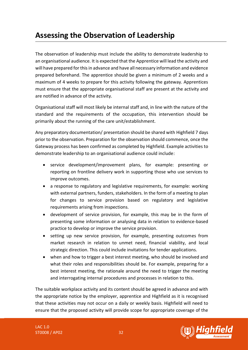### <span id="page-31-0"></span>**Assessing the Observation of Leadership**

The observation of leadership must include the ability to demonstrate leadership to an organisational audience. It is expected that the Apprentice will lead the activity and will have prepared for this in advance and have all necessary information and evidence prepared beforehand. The apprentice should be given a minimum of 2 weeks and a maximum of 4 weeks to prepare for this activity following the gateway. Apprentices must ensure that the appropriate organisational staff are present at the activity and are notified in advance of the activity.

Organisational staff will most likely be internal staff and, in line with the nature of the standard and the requirements of the occupation, this intervention should be primarily about the running of the care unit/establishment.

Any preparatory documentation/ presentation should be shared with Highfield 7 days prior to the observation. Preparation for the observation should commence, once the Gateway process has been confirmed as completed by Highfield. Example activities to demonstrate leadership to an organisational audience could include:

- service development/improvement plans, for example: presenting or reporting on frontline delivery work in supporting those who use services to improve outcomes.
- a response to regulatory and legislative requirements, for example: working with external partners, funders, stakeholders. In the form of a meeting to plan for changes to service provision based on regulatory and legislative requirements arising from inspections.
- development of service provision, for example, this may be in the form of presenting some information or analysing data in relation to evidence-based practice to develop or improve the service provision.
- setting up new service provision, for example, presenting outcomes from market research in relation to unmet need, financial viability, and local strategic direction. This could include invitations for tender applications.
- when and how to trigger a best interest meeting, who should be involved and what their roles and responsibilities should be. For example, preparing for a best interest meeting, the rationale around the need to trigger the meeting and interrogating internal procedures and processes in relation to this.

The suitable workplace activity and its content should be agreed in advance and with the appropriate notice by the employer, apprentice and Highfield as it is recognised that these activities may not occur on a daily or weekly basis. Highfield will need to ensure that the proposed activity will provide scope for appropriate coverage of the

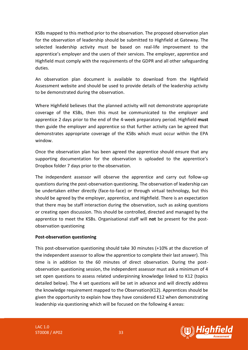KSBs mapped to this method prior to the observation. The proposed observation plan for the observation of leadership should be submitted to Highfield at Gateway. The selected leadership activity must be based on real-life improvement to the apprentice's employer and the users of their services. The employer, apprentice and Highfield must comply with the requirements of the GDPR and all other safeguarding duties.

An observation plan document is available to download from the Highfield Assessment website and should be used to provide details of the leadership activity to be demonstrated during the observation.

Where Highfield believes that the planned activity will not demonstrate appropriate coverage of the KSBs, then this must be communicated to the employer and apprentice 2 days prior to the end of the 4-week preparatory period. Highfield **must**  then guide the employer and apprentice so that further activity can be agreed that demonstrates appropriate coverage of the KSBs which must occur within the EPA window.

Once the observation plan has been agreed the apprentice should ensure that any supporting documentation for the observation is uploaded to the apprentice's Dropbox folder 7 days prior to the observation.

The independent assessor will observe the apprentice and carry out follow-up questions during the post-observation questioning. The observation of leadership can be undertaken either directly (face-to-face) or through virtual technology, but this should be agreed by the employer, apprentice, and Highfield. There is an expectation that there may be staff interaction during the observation, such as asking questions or creating open discussion. This should be controlled, directed and managed by the apprentice to meet the KSBs. Organisational staff will **not** be present for the postobservation questioning

### **Post-observation questioning**

This post-observation questioning should take 30 minutes (+10% at the discretion of the independent assessor to allow the apprentice to complete their last answer). This time is in addition to the 60 minutes of direct observation. During the postobservation questioning session, the independent assessor must ask a minimum of 4 set open questions to assess related underpinning knowledge linked to K12 (topics detailed below). The 4 set questions will be set in advance and will directly address the knowledge requirement mapped to the Observation(K12). Apprentices should be given the opportunity to explain how they have considered K12 when demonstrating leadership via questioning which will be focused on the following 4 areas:

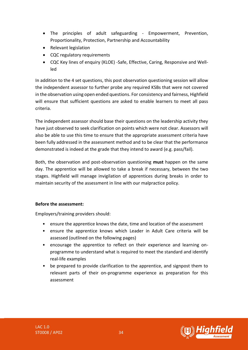- The principles of adult safeguarding Empowerment, Prevention, Proportionality, Protection, Partnership and Accountability
- Relevant legislation
- CQC regulatory requirements
- CQC Key lines of enquiry (KLOE) -Safe, Effective, Caring, Responsive and Wellled

In addition to the 4 set questions, this post observation questioning session will allow the independent assessor to further probe any required KSBs that were not covered in the observation using open ended questions. For consistency and fairness, Highfield will ensure that sufficient questions are asked to enable learners to meet all pass criteria.

The independent assessor should base their questions on the leadership activity they have just observed to seek clarification on points which were not clear. Assessors will also be able to use this time to ensure that the appropriate assessment criteria have been fully addressed in the assessment method and to be clear that the performance demonstrated is indeed at the grade that they intend to award (e.g. pass/fail).

Both, the observation and post-observation questioning **must** happen on the same day. The apprentice will be allowed to take a break if necessary, between the two stages. Highfield will manage invigilation of apprentices during breaks in order to maintain security of the assessment in line with our malpractice policy.

### **Before the assessment:**

Employers/training providers should:

- ensure the apprentice knows the date, time and location of the assessment
- ensure the apprentice knows which Leader in Adult Care criteria will be assessed (outlined on the following pages)
- encourage the apprentice to reflect on their experience and learning onprogramme to understand what is required to meet the standard and identify real-life examples
- be prepared to provide clarification to the apprentice, and signpost them to relevant parts of their on-programme experience as preparation for this assessment

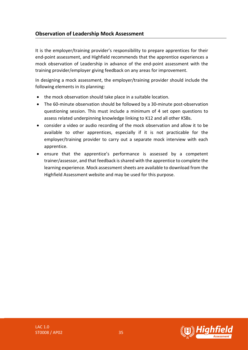### **Observation of Leadership Mock Assessment**

It is the employer/training provider's responsibility to prepare apprentices for their end-point assessment, and Highfield recommends that the apprentice experiences a mock observation of Leadership in advance of the end-point assessment with the training provider/employer giving feedback on any areas for improvement.

In designing a mock assessment, the employer/training provider should include the following elements in its planning:

- the mock observation should take place in a suitable location.
- The 60-minute observation should be followed by a 30-minute post-observation questioning session. This must include a minimum of 4 set open questions to assess related underpinning knowledge linking to K12 and all other KSBs.
- consider a video or audio recording of the mock observation and allow it to be available to other apprentices, especially if it is not practicable for the employer/training provider to carry out a separate mock interview with each apprentice.
- ensure that the apprentice's performance is assessed by a competent trainer/assessor, and that feedback is shared with the apprentice to complete the learning experience. Mock assessment sheets are available to download from the Highfield Assessment website and may be used for this purpose.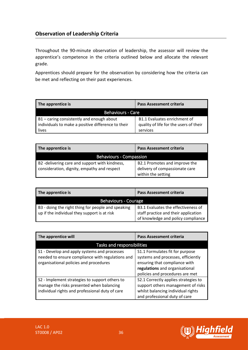### **Observation of Leadership Criteria**

Throughout the 90-minute observation of leadership, the assessor will review the apprentice's competence in the criteria outlined below and allocate the relevant grade.

Apprentices should prepare for the observation by considering how the criteria can be met and reflecting on their past experiences.

| The apprentice is                                                                                        | <b>Pass Assessment criteria</b>                                                    |  |
|----------------------------------------------------------------------------------------------------------|------------------------------------------------------------------------------------|--|
| <b>Behaviours - Care</b>                                                                                 |                                                                                    |  |
| B1 - caring consistently and enough about<br>individuals to make a positive difference to their<br>lives | B1.1 Evaluates enrichment of<br>quality of life for the users of their<br>services |  |

| The apprentice is                                                                             | <b>Pass Assessment criteria</b>                                 |  |
|-----------------------------------------------------------------------------------------------|-----------------------------------------------------------------|--|
| <b>Behaviours - Compassion</b>                                                                |                                                                 |  |
| B2 -delivering care and support with kindness,<br>consideration, dignity, empathy and respect | B2.1 Promotes and improve the<br>delivery of compassionate care |  |
|                                                                                               | within the setting                                              |  |

| The apprentice is                                                                                  | <b>Pass Assessment criteria</b>                                                                                   |  |
|----------------------------------------------------------------------------------------------------|-------------------------------------------------------------------------------------------------------------------|--|
| <b>Behaviours - Courage</b>                                                                        |                                                                                                                   |  |
| B3 - doing the right thing for people and speaking<br>up if the individual they support is at risk | B3.1 Evaluates the effectiveness of<br>staff practice and their application<br>of knowledge and policy compliance |  |

| The apprentice will                                                                                                                            | Pass Assessment criteria                                                                                                                                                    |  |
|------------------------------------------------------------------------------------------------------------------------------------------------|-----------------------------------------------------------------------------------------------------------------------------------------------------------------------------|--|
| Tasks and responsibilities                                                                                                                     |                                                                                                                                                                             |  |
| S1 - Develop and apply systems and processes<br>needed to ensure compliance with regulations and<br>organisational policies and procedures     | S1.1 Formulates fit for purpose<br>systems and processes, efficiently<br>ensuring that compliance with<br>regulations and organisational<br>policies and procedures are met |  |
| S2 - Implement strategies to support others to<br>manage the risks presented when balancing<br>individual rights and professional duty of care | S2.1 Correctly applies strategies to<br>support others management of risks<br>whilst balancing individual rights<br>and professional duty of care                           |  |

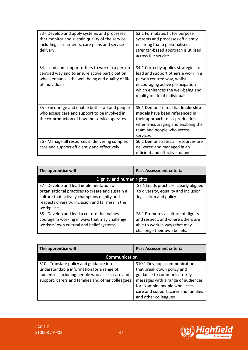| S3 - Develop and apply systems and processes<br>that monitor and sustain quality of the service,<br>including assessments, care plans and service<br>delivery             | S3.1 Formulates fit for purpose<br>systems and processes efficiently<br>ensuring that a personalised,<br>strength-based approach is utilised<br>across the service                                                   |
|---------------------------------------------------------------------------------------------------------------------------------------------------------------------------|----------------------------------------------------------------------------------------------------------------------------------------------------------------------------------------------------------------------|
| S4 - Lead and support others to work in a person<br>centred way and to ensure active participation<br>which enhances the well-being and quality of life<br>of individuals | S4.1 Correctly applies strategies to<br>lead and support others e work in a<br>person centred way, whilst<br>encouraging active participation<br>which enhances the well-being and<br>quality of life of individuals |
| S5 - Encourage and enable both staff and people<br>who access care and support to be involved in<br>the co-production of how the service operates                         | S5.1 Demonstrates that leadership<br>models have been referenced in<br>their approach to co-production<br>when encouraging and enabling the<br>team and people who access<br>services                                |
| S6 - Manage all resources in delivering complex<br>care and support efficiently and effectively                                                                           | S6.1 Demonstrates all resources are<br>delivered and managed in an<br>efficient and effective manner                                                                                                                 |

| The apprentice will                                                                                                                                                                                          | <b>Pass Assessment criteria</b>                                                                                                          |
|--------------------------------------------------------------------------------------------------------------------------------------------------------------------------------------------------------------|------------------------------------------------------------------------------------------------------------------------------------------|
| Dignity and human rights                                                                                                                                                                                     |                                                                                                                                          |
| S7 - Develop and lead implementation of<br>organisational practices to create and sustain a<br>culture that actively champions dignity and<br>respects diversity, inclusion and fairness in the<br>workplace | S7.1 Leads practices, clearly aligned<br>to diversity, equality and inclusion<br>legislation and policy                                  |
| S8 - Develop and lead a culture that values<br>courage in working in ways that may challenge<br>workers' own cultural and belief systems                                                                     | S8.1 Promotes a culture of dignity<br>and respect, and where others are<br>able to work in ways that may<br>challenge their own beliefs. |

| The apprentice will                                                                                                                                                                          | <b>Pass Assessment criteria</b>                                                                                                                                                                                                    |
|----------------------------------------------------------------------------------------------------------------------------------------------------------------------------------------------|------------------------------------------------------------------------------------------------------------------------------------------------------------------------------------------------------------------------------------|
| <b>Communication</b>                                                                                                                                                                         |                                                                                                                                                                                                                                    |
| S10 - Translate policy and guidance into<br>understandable information for a range of<br>audiences including people who access care and<br>support, carers and families and other colleagues | S10.1 Develops communications<br>that break down policy and<br>guidance to communicate key<br>messages with a range of audiences<br>for example: people who access<br>care and support, carer and families<br>and other colleagues |

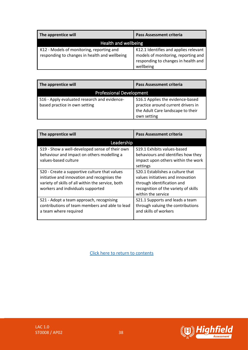| The apprentice will                                                                        | <b>Pass Assessment criteria</b>                                                                                                  |
|--------------------------------------------------------------------------------------------|----------------------------------------------------------------------------------------------------------------------------------|
| Health and wellbeing                                                                       |                                                                                                                                  |
| K12 - Models of monitoring, reporting and<br>responding to changes in health and wellbeing | K12.1 Identifies and applies relevant<br>models of monitoring, reporting and<br>responding to changes in health and<br>wellbeing |

| The apprentice will                                                           | Pass Assessment criteria                                                                                                   |  |
|-------------------------------------------------------------------------------|----------------------------------------------------------------------------------------------------------------------------|--|
| <b>Professional Development</b>                                               |                                                                                                                            |  |
| S16 - Apply evaluated research and evidence-<br>based practice in own setting | S16.1 Applies the evidence-based<br>practice around current drivers in<br>the Adult Care landscape to their<br>own setting |  |

| The apprentice will                                                | Pass Assessment criteria                                                 |
|--------------------------------------------------------------------|--------------------------------------------------------------------------|
| Leadership                                                         |                                                                          |
| S19 - Show a well-developed sense of their own                     | S19.1 Exhibits values-based                                              |
| behaviour and impact on others modelling a<br>values-based culture | behaviours and identifies how they<br>impact upon others within the work |
|                                                                    | settings                                                                 |
| S20 - Create a supportive culture that values                      | S20.1 Establishes a culture that                                         |
| initiative and innovation and recognises the                       | values initiatives and innovation                                        |
| variety of skills of all within the service, both                  | through identification and                                               |
| workers and individuals supported                                  | recognition of the variety of skills                                     |
|                                                                    | within the service                                                       |
| S21 - Adopt a team approach, recognising                           | S21.1 Supports and leads a team                                          |
| contributions of team members and able to lead                     | through valuing the contributions                                        |
| a team where required                                              | and skills of workers                                                    |
|                                                                    |                                                                          |

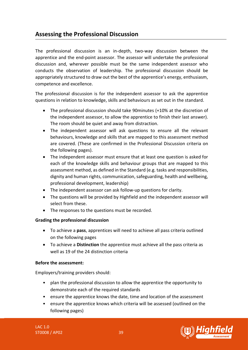### <span id="page-38-0"></span>**Assessing the Professional Discussion**

The professional discussion is an in-depth, two-way discussion between the apprentice and the end-point assessor. The assessor will undertake the professional discussion and, wherever possible must be the same independent assessor who conducts the observation of leadership. The professional discussion should be appropriately structured to draw out the best of the apprentice's energy, enthusiasm, competence and excellence.

The professional discussion is for the independent assessor to ask the apprentice questions in relation to knowledge, skills and behaviours as set out in the standard.

- The professional discussion should take 90minutes (+10% at the discretion of the independent assessor, to allow the apprentice to finish their last answer). The room should be quiet and away from distraction.
- The independent assessor will ask questions to ensure all the relevant behaviours, knowledge and skills that are mapped to this assessment method are covered. (These are confirmed in the Professional Discussion criteria on the following pages).
- The independent assessor must ensure that at least one question is asked for each of the knowledge skills and behaviour groups that are mapped to this assessment method, as defined in the Standard (e.g. tasks and responsibilities, dignity and human rights, communication, safeguarding, health and wellbeing, professional development, leadership)
- The independent assessor can ask follow-up questions for clarity.
- The questions will be provided by Highfield and the independent assessor will select from these.
- The responses to the questions must be recorded.

### **Grading the professional discussion**

- To achieve a **pass**, apprentices will need to achieve all pass criteria outlined on the following pages
- To achieve a **Distinction** the apprentice must achieve all the pass criteria as well as 19 of the 24 distinction criteria

### **Before the assessment:**

Employers/training providers should:

- plan the professional discussion to allow the apprentice the opportunity to demonstrate each of the required standards
- ensure the apprentice knows the date, time and location of the assessment
- ensure the apprentice knows which criteria will be assessed (outlined on the following pages)

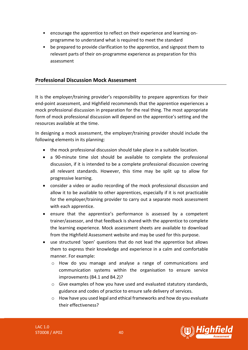- encourage the apprentice to reflect on their experience and learning onprogramme to understand what is required to meet the standard
- be prepared to provide clarification to the apprentice, and signpost them to relevant parts of their on-programme experience as preparation for this assessment

### **Professional Discussion Mock Assessment**

It is the employer/training provider's responsibility to prepare apprentices for their end-point assessment, and Highfield recommends that the apprentice experiences a mock professional discussion in preparation for the real thing. The most appropriate form of mock professional discussion will depend on the apprentice's setting and the resources available at the time.

In designing a mock assessment, the employer/training provider should include the following elements in its planning:

- the mock professional discussion should take place in a suitable location.
- a 90-minute time slot should be available to complete the professional discussion, if it is intended to be a complete professional discussion covering all relevant standards. However, this time may be split up to allow for progressive learning.
- consider a video or audio recording of the mock professional discussion and allow it to be available to other apprentices, especially if it is not practicable for the employer/training provider to carry out a separate mock assessment with each apprentice.
- ensure that the apprentice's performance is assessed by a competent trainer/assessor, and that feedback is shared with the apprentice to complete the learning experience. Mock assessment sheets are available to download from the Highfield Assessment website and may be used for this purpose.
- use structured 'open' questions that do not lead the apprentice but allows them to express their knowledge and experience in a calm and comfortable manner. For example:
	- o How do you manage and analyse a range of communications and communication systems within the organisation to ensure service improvements (B4.1 and B4.2)?
	- $\circ$  Give examples of how you have used and evaluated statutory standards, guidance and codes of practice to ensure safe delivery of services.
	- o How have you used legal and ethical frameworks and how do you evaluate their effectiveness?



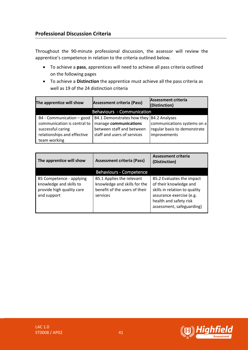Throughout the 90-minute professional discussion, the assessor will review the apprentice's competence in relation to the criteria outlined below.

- To achieve a **pass**, apprentices will need to achieve all pass criteria outlined on the following pages
- To achieve a **Distinction** the apprentice must achieve all the pass criteria as well as 19 of the 24 distinction criteria

| The apprentice will show                                                                                                     | <b>Assessment criteria (Pass)</b>                                                                                              | <b>Assessment criteria</b><br>(Distinction)                                 |
|------------------------------------------------------------------------------------------------------------------------------|--------------------------------------------------------------------------------------------------------------------------------|-----------------------------------------------------------------------------|
| <b>Behaviours - Communication</b>                                                                                            |                                                                                                                                |                                                                             |
| B4 - Communication - good<br>communication is central to<br>successful caring<br>relationships and effective<br>team working | B4.1 Demonstrates how they  B4.2 Analyses<br>manage communications<br>between staff and between<br>staff and users of services | communications systems on a<br>regular basis to demonstrate<br>improvements |

| The apprentice will show                                                                        | <b>Assessment criteria (Pass)</b>                                                                      | <b>Assessment criteria</b><br>(Distinction)                                                                                                                             |
|-------------------------------------------------------------------------------------------------|--------------------------------------------------------------------------------------------------------|-------------------------------------------------------------------------------------------------------------------------------------------------------------------------|
|                                                                                                 | <b>Behaviours - Competence</b>                                                                         |                                                                                                                                                                         |
| B5 Competence - applying<br>knowledge and skills to<br>provide high quality care<br>and support | B5.1 Applies the relevant<br>knowledge and skills for the<br>benefit of the users of their<br>services | B5.2 Evaluates the impact<br>of their knowledge and<br>skills in relation to quality<br>assurance exercise (e.g.<br>health and safety risk<br>assessment, safeguarding) |

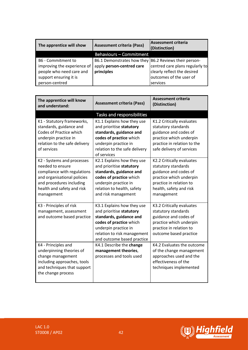| The apprentice will show                                                                                | <b>Assessment criteria (Pass)</b>                                                                | Assessment criteria<br>(Distinction)                                                      |
|---------------------------------------------------------------------------------------------------------|--------------------------------------------------------------------------------------------------|-------------------------------------------------------------------------------------------|
|                                                                                                         | Behaviours - Commitment                                                                          |                                                                                           |
| B6 - Commitment to<br>improving the experience of<br>people who need care and<br>support ensuring it is | B6.1 Demonstrates how they B6.2 Reviews their person-<br>apply person-centred care<br>principles | centred care plans regularly to<br>clearly reflect the desired<br>outcomes of the user of |
| person-centred                                                                                          |                                                                                                  | services                                                                                  |

| The apprentice will know<br>and understand:                                                                                                                                          | <b>Assessment criteria (Pass)</b>                                                                                                                                                                 | <b>Assessment criteria</b><br>(Distinction)                                                                                                                              |
|--------------------------------------------------------------------------------------------------------------------------------------------------------------------------------------|---------------------------------------------------------------------------------------------------------------------------------------------------------------------------------------------------|--------------------------------------------------------------------------------------------------------------------------------------------------------------------------|
|                                                                                                                                                                                      | Tasks and responsibilities                                                                                                                                                                        |                                                                                                                                                                          |
| K1 - Statutory frameworks,<br>standards, guidance and<br>Codes of Practice which<br>underpin practice in<br>relation to the safe delivery<br>of services                             | K1.1 Explains how they use<br>and prioritise statutory<br>standards, guidance and<br>codes of practice which<br>underpin practice in<br>relation to the safe delivery<br>of services              | K1.2 Critically evaluates<br>statutory standards<br>guidance and codes of<br>practice which underpin<br>practice in relation to the<br>safe delivery of services         |
| K2 - Systems and processes<br>needed to ensure<br>compliance with regulations<br>and organisational policies<br>and procedures including<br>health and safety and risk<br>management | K2.1 Explains how they use<br>and prioritise statutory<br>standards, guidance and<br>codes of practice which<br>underpin practice in<br>relation to health, safety<br>and risk management         | K2.2 Critically evaluates<br>statutory standards<br>guidance and codes of<br>practice which underpin<br>practice in relation to<br>health, safety and risk<br>management |
| K3 - Principles of risk<br>management, assessment<br>and outcome based practice                                                                                                      | K3.1 Explains how they use<br>and prioritise statutory<br>standards, guidance and<br>codes of practice which<br>underpin practice in<br>relation to risk management<br>and outcome based practice | K3.2 Critically evaluates<br>statutory standards<br>guidance and codes of<br>practice which underpin<br>practice in relation to<br>outcome based practice                |
| K4 - Principles and<br>underpinning theories of<br>change management<br>including approaches, tools<br>and techniques that support<br>the change process                             | K4.1 Describe the change<br>management theories,<br>processes and tools used                                                                                                                      | K4.2 Evaluates the outcome<br>of the change management<br>approaches used and the<br>effectiveness of the<br>techniques implemented                                      |

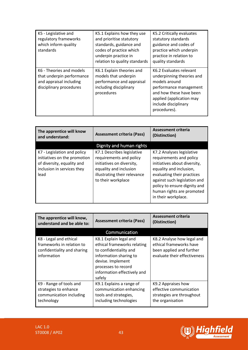| K5 - Legislative and<br>regulatory frameworks<br>which inform quality<br>standards                          | K5.1 Explains how they use<br>and prioritise statutory<br>standards, guidance and<br>codes of practice which<br>underpin practice in<br>relation to quality standards | K5.2 Critically evaluates<br>statutory standards<br>guidance and codes of<br>practice which underpin<br>practice in relation to<br>quality standards                                           |
|-------------------------------------------------------------------------------------------------------------|-----------------------------------------------------------------------------------------------------------------------------------------------------------------------|------------------------------------------------------------------------------------------------------------------------------------------------------------------------------------------------|
| K6 - Theories and models<br>that underpin performance<br>and appraisal including<br>disciplinary procedures | K6.1 Explain theories and<br>models that underpin<br>performance and appraisal<br>including disciplinary<br>procedures                                                | K6.2 Evaluates relevant<br>underpinning theories and<br>models around<br>performance management<br>and how these have been<br>applied (application may<br>include disciplinary<br>procedures). |

| The apprentice will know<br>and understand:                                                                                     | <b>Assessment criteria (Pass)</b>                                                                                                                                  | <b>Assessment criteria</b><br>(Distinction)                                                                                                                                                                                                                       |
|---------------------------------------------------------------------------------------------------------------------------------|--------------------------------------------------------------------------------------------------------------------------------------------------------------------|-------------------------------------------------------------------------------------------------------------------------------------------------------------------------------------------------------------------------------------------------------------------|
|                                                                                                                                 | Dignity and human rights                                                                                                                                           |                                                                                                                                                                                                                                                                   |
| K7 - Legislation and policy<br>initiatives on the promotion<br>of diversity, equality and<br>inclusion in services they<br>lead | K7.1 Describes legislative<br>requirements and policy<br>initiatives on diversity,<br>equality and inclusion<br>illustrating their relevance<br>to their workplace | K7.2 Analyses legislative<br>requirements and policy<br>initiatives about diversity,<br>equality and inclusion,<br>evaluating their practices<br>against such legislation and<br>policy to ensure dignity and<br>human rights are promoted<br>in their workplace. |

| The apprentice will know,<br>understand and be able to:                                           | <b>Assessment criteria (Pass)</b>                                                                                                                                                              | <b>Assessment criteria</b><br>(Distinction)                                                                       |
|---------------------------------------------------------------------------------------------------|------------------------------------------------------------------------------------------------------------------------------------------------------------------------------------------------|-------------------------------------------------------------------------------------------------------------------|
|                                                                                                   | Communication                                                                                                                                                                                  |                                                                                                                   |
| K8 - Legal and ethical<br>frameworks in relation to<br>confidentiality and sharing<br>information | K8.1 Explain legal and<br>ethical frameworks relating<br>to confidentiality and<br>information sharing to<br>devise. Implement<br>processes to record<br>information effectively and<br>safely | K8.2 Analyse how legal and<br>ethical frameworks have<br>been applied and further<br>evaluate their effectiveness |
| K9 - Range of tools and<br>strategies to enhance<br>communication including<br>technology         | K9.1 Explains a range of<br>communication enhancing<br>tools and strategies,<br>including technologies                                                                                         | K9.2 Appraises how<br>effective communication<br>strategies are throughout<br>the organisation                    |

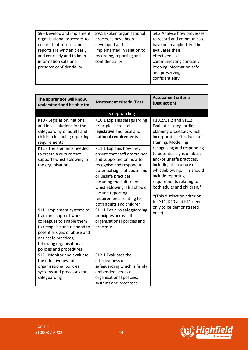| The apprentice will know,<br>understand and be able to:                                                                                                                                                                         | <b>Assessment criteria (Pass)</b>                                                                                                                                                                                                                                                                              | <b>Assessment criteria</b><br>(Distinction)                                                                                                                                                                                                                                                                                       |
|---------------------------------------------------------------------------------------------------------------------------------------------------------------------------------------------------------------------------------|----------------------------------------------------------------------------------------------------------------------------------------------------------------------------------------------------------------------------------------------------------------------------------------------------------------|-----------------------------------------------------------------------------------------------------------------------------------------------------------------------------------------------------------------------------------------------------------------------------------------------------------------------------------|
|                                                                                                                                                                                                                                 | Safeguarding                                                                                                                                                                                                                                                                                                   |                                                                                                                                                                                                                                                                                                                                   |
| K10 - Legislation, national<br>and local solutions for the<br>safeguarding of adults and<br>children including reporting<br>requirements                                                                                        | K10.1 Explains safeguarding<br>principles across all<br>legislative and local and<br>national requirements                                                                                                                                                                                                     | K10.2/11.2 and S11.2<br><b>Evaluates safeguarding</b><br>planning processes which<br>incorporates effective staff<br>training. Modelling                                                                                                                                                                                          |
| K11 - The elements needed<br>to create a culture that<br>supports whistleblowing in<br>the organisation                                                                                                                         | K11.1 Explains how they<br>ensure that staff are trained<br>and supported on how to<br>recognise and respond to<br>potential signs of abuse and<br>or unsafe practices<br>including the culture of<br>whistleblowing. This should<br>include reporting<br>requirements relating to<br>both adults and children | recognising and responding<br>to potential signs of abuse<br>and/or unsafe practices,<br>including the culture of<br>whistleblowing. This should<br>include reporting<br>requirements relating to<br>both adults and children.*<br>*(This distinction criterion<br>for S11, K10 and K11 need<br>only to be demonstrated<br>once). |
| S11 - Implement systems to<br>train and support work<br>colleagues to enable them<br>to recognise and respond to<br>potential signs of abuse and<br>or unsafe practices,<br>following organisational<br>policies and procedures | S11.1 Explains safeguarding<br>principles across all<br>organisational policies and<br>procedures                                                                                                                                                                                                              |                                                                                                                                                                                                                                                                                                                                   |
| S12 - Monitor and evaluate<br>the effectiveness of<br>organisational policies,<br>systems and processes for<br>safeguarding                                                                                                     | S12.1 Evaluates the<br>effectiveness of<br>safeguarding which is firmly<br>embedded across all<br>organisational policies,<br>systems and processes                                                                                                                                                            |                                                                                                                                                                                                                                                                                                                                   |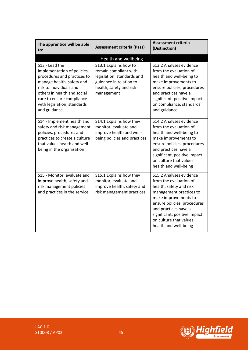| The apprentice will be able<br>to:                                                                                                                                                                                                              | <b>Assessment criteria (Pass)</b>                                                                                                                                        | <b>Assessment criteria</b><br>(Distinction)                                                                                                                                                                                                                               |
|-------------------------------------------------------------------------------------------------------------------------------------------------------------------------------------------------------------------------------------------------|--------------------------------------------------------------------------------------------------------------------------------------------------------------------------|---------------------------------------------------------------------------------------------------------------------------------------------------------------------------------------------------------------------------------------------------------------------------|
| S13 - Lead the<br>implementation of policies,<br>procedures and practices to<br>manage health, safety and<br>risk to individuals and<br>others in health and social<br>care to ensure compliance<br>with legislation, standards<br>and guidance | Health and wellbeing<br>S13.1 Explains how to<br>remain compliant with<br>legislation, standards and<br>guidance in relation to<br>health, safety and risk<br>management | S13.2 Analyses evidence<br>from the evaluation of<br>health and well-being to<br>make improvements to<br>ensure policies, procedures<br>and practices have a<br>significant, positive impact<br>on compliance, standards<br>and guidance                                  |
| S14 - Implement health and<br>safety and risk management<br>policies, procedures and<br>practices to create a culture<br>that values health and well-<br>being in the organisation                                                              | S14.1 Explains how they<br>monitor, evaluate and<br>improve health and well-<br>being policies and practices                                                             | S14.2 Analyses evidence<br>from the evaluation of<br>health and well-being to<br>make improvements to<br>ensure policies, procedures<br>and practices have a<br>significant, positive impact<br>on culture that values<br>health and well-being                           |
| S15 - Monitor, evaluate and<br>improve health, safety and<br>risk management policies<br>and practices in the service                                                                                                                           | S15.1 Explains how they<br>monitor, evaluate and<br>improve health, safety and<br>risk management practices                                                              | S15.2 Analyses evidence<br>from the evaluation of<br>health, safety and risk<br>management practices to<br>make improvements to<br>ensure policies, procedures<br>and practices have a<br>significant, positive impact<br>on culture that values<br>health and well-being |

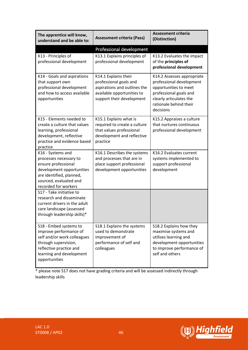| The apprentice will know,<br>understand and be able to:                                                                                                                         | <b>Assessment criteria (Pass)</b>                                                                                                         | <b>Assessment criteria</b><br>(Distinction)                                                                                                                                 |
|---------------------------------------------------------------------------------------------------------------------------------------------------------------------------------|-------------------------------------------------------------------------------------------------------------------------------------------|-----------------------------------------------------------------------------------------------------------------------------------------------------------------------------|
|                                                                                                                                                                                 | Professional development                                                                                                                  |                                                                                                                                                                             |
| K13 - Principles of<br>professional development                                                                                                                                 | K13.1 Explains principles of<br>professional development                                                                                  | K13.2 Evaluates the impact<br>of the principles of<br>professional development                                                                                              |
| K14 - Goals and aspirations<br>that support own<br>professional development<br>and how to access available<br>opportunities                                                     | K14.1 Explains their<br>professional goals and<br>aspirations and outlines the<br>available opportunities to<br>support their development | K14.2 Assesses appropriate<br>professional development<br>opportunities to meet<br>professional goals and<br>clearly articulates the<br>rationale behind their<br>decisions |
| K15 - Elements needed to<br>create a culture that values<br>learning, professional<br>development, reflective<br>practice and evidence based<br>practice                        | K15.1 Explains what is<br>required to create a culture<br>that values professional<br>development and reflective<br>practice              | K15.2 Appraises a culture<br>that nurtures continuous<br>professional development                                                                                           |
| K16 - Systems and<br>processes necessary to<br>ensure professional<br>development opportunities<br>are identified, planned,<br>sourced, evaluated and<br>recorded for workers   | K16.1 Describes the systems<br>and processes that are in<br>place support professional<br>development opportunities                       | K16.2 Evaluates current<br>systems implemented to<br>support professional<br>development                                                                                    |
| S17 - Take initiative to<br>research and disseminate<br>current drivers in the adult<br>care landscape (assessed<br>through leadership skills)*                                 |                                                                                                                                           |                                                                                                                                                                             |
| S18 - Embed systems to<br>improve performance of<br>self and/or work colleagues<br>through supervision,<br>reflective practice and<br>learning and development<br>opportunities | S18.1 Explains the systems<br>used to demonstrate<br>improvement of<br>performance of self and<br>colleagues                              | S18.2 Explains how they<br>maximise systems and<br>utilises learning and<br>development opportunities<br>to improve performance of<br>self and others                       |

\* please note S17 does not have grading criteria and will be assessed indirectly through leadership skills